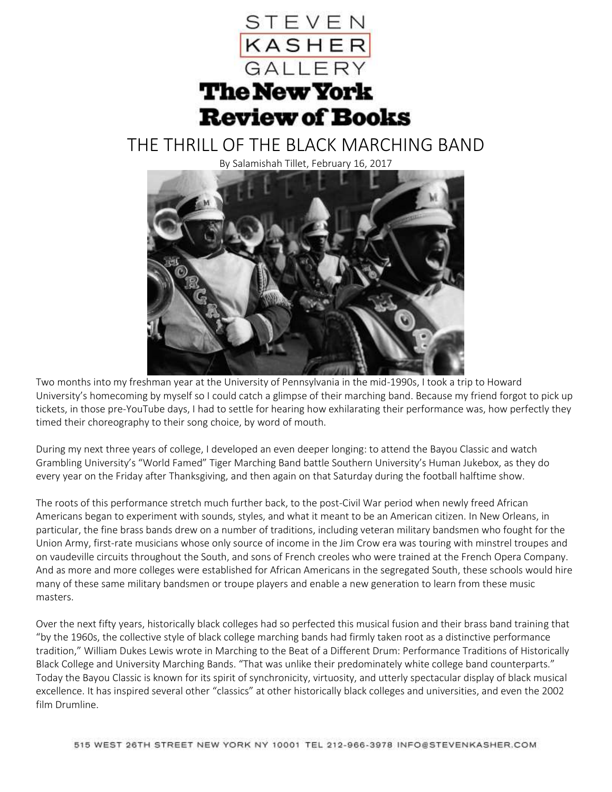

## THE THRILL OF THE BLACK MARCHING BAND

By Salamishah Tillet, February 16, 2017



Two months into my freshman year at the University of Pennsylvania in the mid-1990s, I took a trip to Howard University's homecoming by myself so I could catch a glimpse of their marching band. Because my friend forgot to pick up tickets, in those pre-YouTube days, I had to settle for hearing how exhilarating their performance was, how perfectly they timed their choreography to their song choice, by word of mouth.

During my next three years of college, I developed an even deeper longing: to attend the Bayou Classic and watch Grambling University's "World Famed" Tiger Marching Band battle Southern University's Human Jukebox, as they do every year on the Friday after Thanksgiving, and then again on that Saturday during the football halftime show.

The roots of this performance stretch much further back, to the post-Civil War period when newly freed African Americans began to experiment with sounds, styles, and what it meant to be an American citizen. In New Orleans, in particular, the fine brass bands drew on a number of traditions, including veteran military bandsmen who fought for the Union Army, first-rate musicians whose only source of income in the Jim Crow era was touring with minstrel troupes and on vaudeville circuits throughout the South, and sons of French creoles who were trained at the French Opera Company. And as more and more colleges were established for African Americans in the segregated South, these schools would hire many of these same military bandsmen or troupe players and enable a new generation to learn from these music masters.

Over the next fifty years, historically black colleges had so perfected this musical fusion and their brass band training that "by the 1960s, the collective style of black college marching bands had firmly taken root as a distinctive performance tradition," William Dukes Lewis wrote in Marching to the Beat of a Different Drum: Performance Traditions of Historically Black College and University Marching Bands. "That was unlike their predominately white college band counterparts." Today the Bayou Classic is known for its spirit of synchronicity, virtuosity, and utterly spectacular display of black musical excellence. It has inspired several other "classics" at other historically black colleges and universities, and even the 2002 film Drumline.